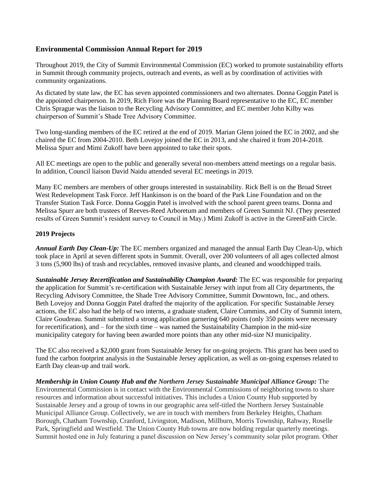## **Environmental Commission Annual Report for 2019**

Throughout 2019, the City of Summit Environmental Commission (EC) worked to promote sustainability efforts in Summit through community projects, outreach and events, as well as by coordination of activities with community organizations.

As dictated by state law, the EC has seven appointed commissioners and two alternates. Donna Goggin Patel is the appointed chairperson. In 2019, Rich Fiore was the Planning Board representative to the EC, EC member Chris Sprague was the liaison to the Recycling Advisory Committee, and EC member John Kilby was chairperson of Summit's Shade Tree Advisory Committee.

Two long-standing members of the EC retired at the end of 2019. Marian Glenn joined the EC in 2002, and she chaired the EC from 2004-2010. Beth Lovejoy joined the EC in 2013, and she chaired it from 2014-2018. Melissa Spurr and Mimi Zukoff have been appointed to take their spots.

All EC meetings are open to the public and generally several non-members attend meetings on a regular basis. In addition, Council liaison David Naidu attended several EC meetings in 2019.

Many EC members are members of other groups interested in sustainability. Rick Bell is on the Broad Street West Redevelopment Task Force. Jeff Hankinson is on the board of the Park Line Foundation and on the Transfer Station Task Force. Donna Goggin Patel is involved with the school parent green teams. Donna and Melissa Spurr are both trustees of Reeves-Reed Arboretum and members of Green Summit NJ. (They presented results of Green Summit's resident survey to Council in May.) Mimi Zukoff is active in the GreenFaith Circle.

## **2019 Projects**

*Annual Earth Day Clean-Up:* The EC members organized and managed the annual Earth Day Clean-Up, which took place in April at seven different spots in Summit. Overall, over 200 volunteers of all ages collected almost 3 tons (5,900 lbs) of trash and recyclables, removed invasive plants, and cleaned and woodchipped trails.

*Sustainable Jersey Recertification and Sustainability Champion Award:* The EC was responsible for preparing the application for Summit's re-certification with Sustainable Jersey with input from all City departments, the Recycling Advisory Committee, the Shade Tree Advisory Committee, Summit Downtown, Inc., and others. Beth Lovejoy and Donna Goggin Patel drafted the majority of the application. For specific Sustainable Jersey actions, the EC also had the help of two interns, a graduate student, Claire Cummins, and City of Summit intern, Claire Goudreau. Summit submitted a strong application garnering 640 points (only 350 points were necessary for recertification), and – for the sixth time – was named the Sustainability Champion in the mid-size municipality category for having been awarded more points than any other mid-size NJ municipality.

The EC also received a \$2,000 grant from Sustainable Jersey for on-going projects. This grant has been used to fund the carbon footprint analysis in the Sustainable Jersey application, as well as on-going expenses related to Earth Day clean-up and trail work.

*Membership in Union County Hub and the Northern Jersey Sustainable Municipal Alliance Group:* The Environmental Commission is in contact with the Environmental Commissions of neighboring towns to share resources and information about successful initiatives. This includes a Union County Hub supported by Sustainable Jersey and a group of towns in our geographic area self-titled the Northern Jersey Sustainable Municipal Alliance Group. Collectively, we are in touch with members from Berkeley Heights, Chatham Borough, Chatham Township, Cranford, Livingston, Madison, Millburn, Morris Township, Rahway, Roselle Park, Springfield and Westfield. The Union County Hub towns are now holding regular quarterly meetings. Summit hosted one in July featuring a panel discussion on New Jersey's community solar pilot program. Other